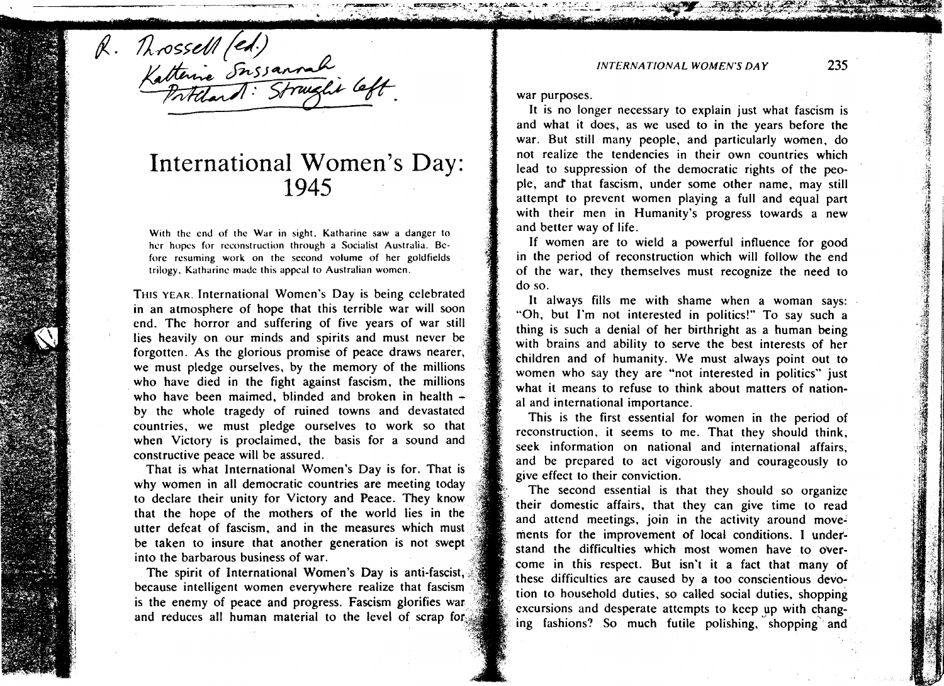**INTERNATIONAL WOMEN'S DAY 235** 

R. Mossell (ed.)<br>Katterine Snssannah<br>Katterine Snssannah

# International Women's Day:<br>1945

**With thc end of the War in sight. Katharine saw a danger to hcr hopcs for rcconstruction through a Socialist Australia. Bcfore resuming work on the second volume of her goldfields trilogy. Katharinc madc this appcal to Australian womcn.** 

THIS YEAR. International Women's Day is being celebrated in an atmosphere of hope that this terrible war will soon end. The horror and suffering of five years of war still lies heavily on our minds and spirits and must never be forgotten. As the glorious promise of peace draws nearer, we must pledge ourselves, by the memory of the millions who have died in the fight against fascism, the millions who have been maimed, blinded and broken in health  $$ by the whole tragedy of ruined towns and devastated countries, we must pledge ourselves to work so that when Victory is proclaimed, the basis for a sound and constructive peace will be assured.

That is what International Women's Day is for. That is why women in all democratic countries are meeting today to declare their unity for Victory and Peace. They know that the hope of the mothers of the world lies in the utter defeat of fascism, and in the measures which must be taken to insure that another generation is not swept

war purposes.

It is no longer necessary to explain just what fascism is and what it does, as we used to in the years before the war. But still many people, and particularly women, do not realize the tendencies in their own countries which lead to suppression of the democratic rights of the people, and that fascism, under some other name. may still attempt to prevent women playing a full and equal part with their men in Humanity's progress towards a new and better way of life.

If women are to wield a powerful influence for good in the period of reconstruction which will follow the end of the war, they themselves must recognize the need to do so.

It always fills me with shame when a woman says: "Oh, but I'm not interested in politics!" To say such a thing is such a denial of her birthright as a human being with brains and ability to serve the best interests of her children and of humanity. We must always point out to women who say they are "not interested in politics" just what it means to refuse to think about matters of nation al and international importance.

This is the first essential for women in the period of reconstruction, it seems to me. That they should think, seek information on national and international affairs. and be prepared to act vigorously and courageously to give effect to their conviction.

The second essential is that they should so organize their domestic affairs, that they can give time to read and attend meetings, join in the activity around movements for the improvement of local conditions. I undefbe taken to insure that another generation is not swept<br>into the barbarous business of war.<br>come in this respect. But isn't it a fact that many of The spirit of International Women's Day is anti-fascist,<br>because intelligent women everywhere realize that fascism<br>is the enemy of peace and progress. Fascism glorifies war<br>and reduces all human material to the level of sc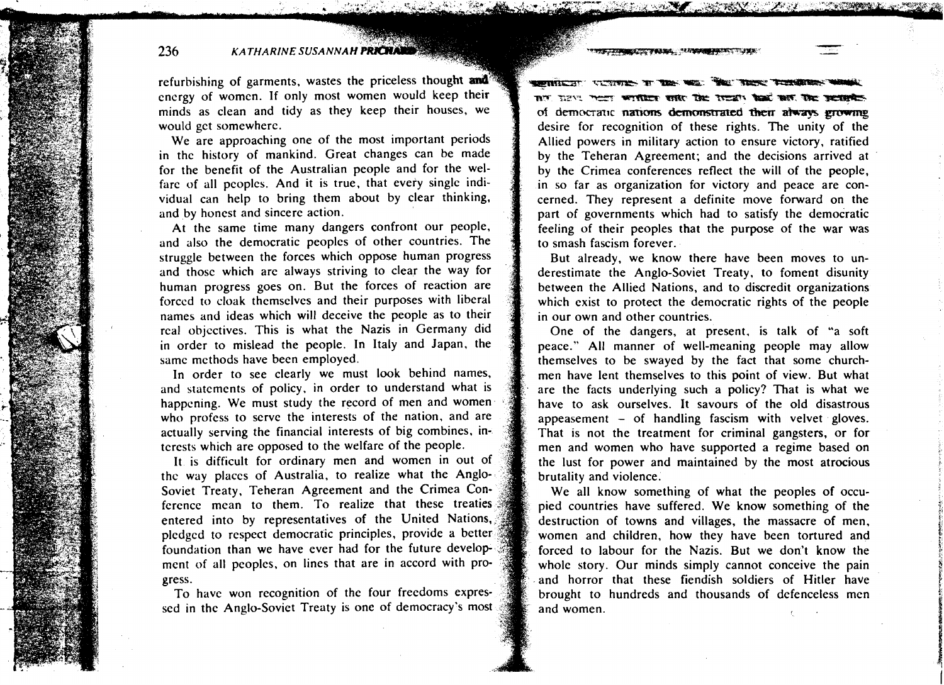**TENNISY YOUR DUMPER TO** 

**KATHARINE SUSANNAH PRICHALL** 

236

refurbishing of garments, wastes the priceless thought and<sup>3</sup> energy of women. If only most women would keep their minds as clean and tidy as they keep their houses, we would get somewhere.

We are approaching one of the most important periods in the history of mankind. Great changes can be made for the benefit of the Australian people and for the welfare of all peoplcs. And it is true, that every single individual can help to bring them about by clear thinking, and by honest and sincere action.

At the same time many dangers confront our people, and also the democratic peoples of other countries. The struggle between the forces which oppose human progress and those which are always striving to clear the way for human progress goes on. But the forces of reaction are forced to cloak themselves and their purposes with liberal names and ideas which will deceive the people as to their real objectives. This is what the Nazis in Germany did in order to mislead the people. In Italy and Japan, the same methods have been employed.

In order to see clearly we must look behind names, and statements of policy. in order to understand what is happening. We must study the record of men and women who profess to serve the interests of the nation, and are actually serving the financial interests of big combines, in-. terests which are opposed to the welfare of the people.

It is difficult for ordinary men and women in out of thc way places of Australia, to realize what the Anglo Soviet Treaty, Teheran Agreement and the Crimea Con ference mean to them. To realize that these treaties entered into by representatives of the United Nations, pledged to respect democratic principles, provide a better foundation than we have ever had for the future development of all peoples, on lines that are in accord with pr gress.

To have won recognition of the four freedoms expres sed in the Anglo-Soviet Treaty is one of democracy's mos **SPRINGERY VICTORIES TO THE MED.** mT TA?... Their written with the Treaty had not the second of democratic nations demonstrated their always growing desire for recognition of these rights. The unity of the Allied powers in military action to ensure victory, ratified by the Teheran Agreement; and the decisions arrived at by the Crimea conferences reflect the will of the people, in so far as organization for victory and peace are concerned. They represent a definite move forward on the part of governments which had to satisfy the democratic feeling of their peoples that the purpose of the war was to smash fascism forever.

 $\mathcal{L}(\mathcal{L})=\mathcal{L}(\mathcal{L})$  , where  $\mathcal{L}(\mathcal{L})=\mathcal{L}(\mathcal{L})$ 

<u> De Tannell (1988)</u>

But already, we know there have been moves to underestimate the Anglo-Soviet Treaty, to foment disunity between the Allied Nations, and to discredit organizations which exist to protect the democratic rights of the people in our own and other countries.

One of the dangers, at present. is talk of "a soft peace." All manner of well-meaning people may allow themselves to be swayed by the fact that some churchmen have lent themselves to this point of view. But what are the facts underlying such a policy? That is what we have to ask ourselves. It savours of the old disastrous appeasement  $-$  of handling fascism with velvet gloves. That is not the treatment for criminal gangsters, or for men and women who have supported a regime based on the lust for power and maintained by the most atrocious brutality and violence.

We all know something of what the peoples of occupied countries have suffered. We know something of the destruction of towns and villages, the massacre of men, women and children. how they have been tortured and forced to labour for the Nazis. But we don't know the whole story. Our minds simply cannot conceive the pain and horror that these fiendish soldiers of Hitler have brought to hundreds and thousands of defenceless men and women.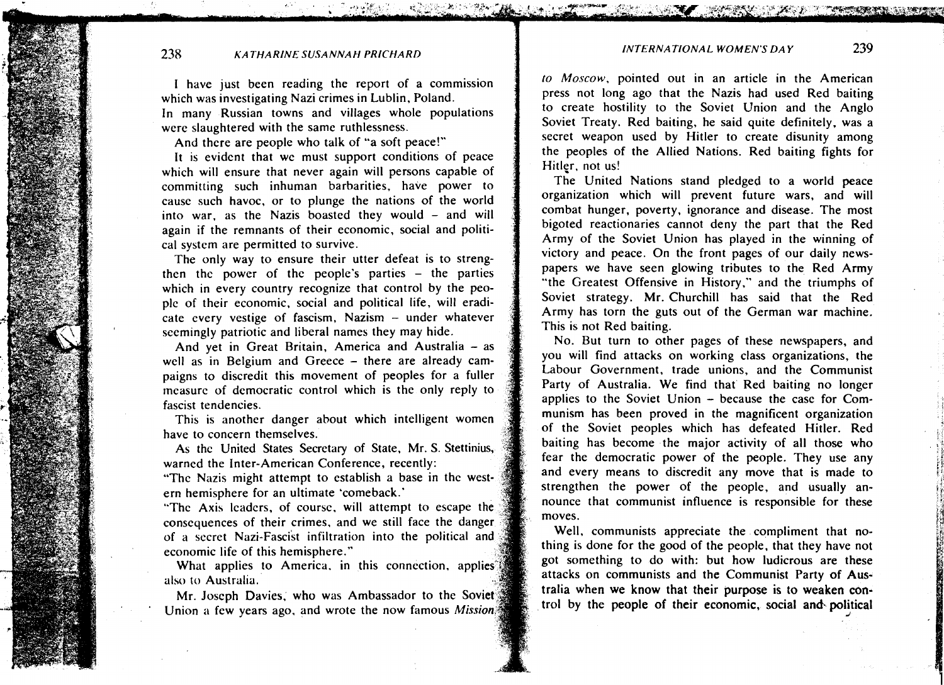#### *INTERNATIONAL WOMEN'S DAY 239*

### **238** *KATHARINE SUSANNAH PRICHARD*

I have just been reading the report of a commission which was investigating Nazi crimes in Lublin, Poland. In many Russian towns and villages whole populations were slaughtered with the same ruthlessness.

And there are people who talk of "a soft peace!"

It is evident that we must support conditions of peace which will ensure that never again will persons capable of committing such inhuman barbarities, have power to cause such havoc, or to plunge the nations of the world into war, as the Nazis boasted they would - and will again if the remnants of their economic, social and political system are permitted to survive.

The only way to ensure their utter defeat is to strengthen the power of the people's parties  $-$  the parties which in every country recognize that control by the peoplc of their economic, social and political life, will eradicate every vestige of fascism, Nazism - under whatever seemingly patriotic and liberal names they may hide.

And yet in Great Britain, America and Australia - as well as in Belgium and Greece - there are already campaigns to discredit this movement of peoples for a fuller rneasurc of democratic control which is the only reply to fascist tendencies.

This is another danger about which intelligent women have to concern themselves.

As the United States Secretary of State, Mr. S. Stettiniu warned the Inter-American Conference, recently:

"Thc Nazis might attempt to establish a base in thc western hemisphere for an ultimate 'comeback.'

"The Axis leaders, of course, will attempt to escape the consequences of their crimes. and we still face the dang of a secret Nazi-Fascist infiltration into the political and economic life of this hemisphere."

What applies to America, in this connection, applies also to Australia.

Mr. Joseph Davies, who was Ambassador to the Soviet Union a few years ago, and wrote the now famous *Mission*  (o **Moscow.** pointed out in an article in the American press not long ago that the Nazis had used Red baiting to create hostility to the Soviet Union and the Anglo Soviet Treaty. Red baiting, he said quite definitely, was a secret weapon used by Hitler to create disunity among the peoples of the Allied Nations. Red baiting fights for Hitler, not us!

The United Nations stand pledged to a world peace organization which will prevent future wars, and will combat hunger, poverty, ignorance and disease. The most bigoted reactionaries cannot deny the part that the Red Army of the Soviet Union has played in the winning of victory and peace. On the front pages of our daily newspapers we have seen glowing tributes to the Red Army "the Greatest Offensive in History," and the triumphs of Soviet strategy. Mr. Churchill has said that the Red Army has torn the guts out of the German war machine. This is not Red baiting.

No. But turn to other pages of these newspapers, and you will find attacks on working class organizations, the Labour Government, trade unions, and the Communist Party of Australia. We find that Red baiting no longer applies to the Soviet Union - because the case for Communism has been proved in the magnificent organization of the Soviet peoples which has defeated Hitler. Red baiting has become the major activity of all those who fear the democratic power of the people. They use any and every means to discredit any move that is made to strengthen the power of the people, and usually announce that communist influence is responsible for these , moves.

Well, communists appreciate the compliment that no-. thing is done for the good of the people. that they have not got something to do with: but how ludicrous are these attacks on communists and the Communist Party of Australia when we know that their purpose is to weaken con-<br>trol by the people of their economic, social and political

**Q d** 

1.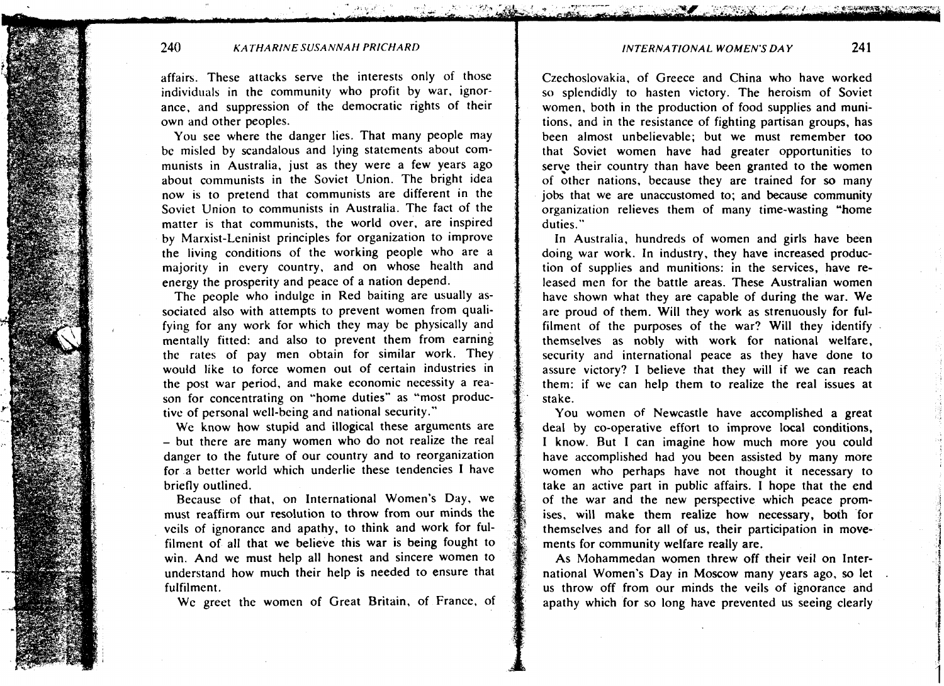**INTERNATIONAL WOMEN'S DAY 24 1** 

#### **240 KATHARINE SUSA NNAH PRICHARD**

affairs. These attacks serve the interests only of those individuals in the community who profit by war. ignorance, and suppression of the democratic rights of their own and other peoples.

You see where the danger lies. That many people may be misled by scandalous and lying statements about communists in Australia. just as they were a few years ago about communists in the Soviet Union. The bright idea now is to pretend that communists are different in the Soviet Union to communists in Australia. The fact of the matter is that communists, the world over, are inspired by Marxist-Leninist principles for organization to improve the living conditions of the working people who are a majority in every country. and on whose health and energy the prosperity and peace of a nation depend.

The people who indulge in Red baiting are usually associated also with attempts to prevent women from qualifying for any work for which they may be physically and mentally fitted: and also to prevent them from earning the rates of pay men obtain for similar work. They would like to force women out of certain industries in the post war period, and make economic necessity a reason for concentrating on "home duties" as "most productive of personal well-being and national security."

We know how stupid and illogical these arguments are - but there are many women who do not realize the real danger to the future of our country and to reorganization for a better world which underlie these tendencies I have briefly outlined.

Because of that. on International Women's Day, we must reaffirm our resolution to throw from our minds the veils of ignorance and apathy, to think and work for fulfilment of all that we believe this war is being fought to win. And we must help all honest and sincere women to understand how much their help is needed to ensure that fulfilment.

WC greet the women of Great Britain, of France, of

Czechoslovakia, of Greece and China who have worked so splendidly to hasten victory. The heroism of Soviet women. both in the production of food supplies and munitions, and in the resistance of fighting partisan groups, has been almost unbelievable; but we must remember too that Soviet women have had greater opportunities to serve their country than have been granted to the women of other nations, because they are trained for **so** many jobs that we are unaccustomed to; and because community organization relieves them of many time-wasting "home duties."

In Australia. hundreds of women and girls have been doing war work. In industry, they have increased production of supplies and munitions: in the services, have released men for the battle areas. These Australian women have shown what they are capable of during the war. We are proud of them. Will they work as strenuously for fulfilment of the purposes of the war? Will they identify themselves as nobly with work for national welfare, security and international peace as they have done to assure victory? I believe that they will if we can reach them: if we can help them to realize the real issues at stake.

You women of Newcastle have accomplished a great deal by co-operative effort to improve local conditions, I know. But I can imagine how much more you could have accomplished had you been assisted by many more women who perhaps have not thought it necessary to take an active part in public affairs. I hope that the end of the war and the new perspective which peace promises. will make them realize how necessary, both for themselves and for all of us, their participation in movements for community welfare really are.

As Mohammedan women threw off their veil on International Women's Day in Moscow many years ago, **so** let . us throw off from our minds the veils of ignorance and apathy which for so long have prevented us seeing clearly